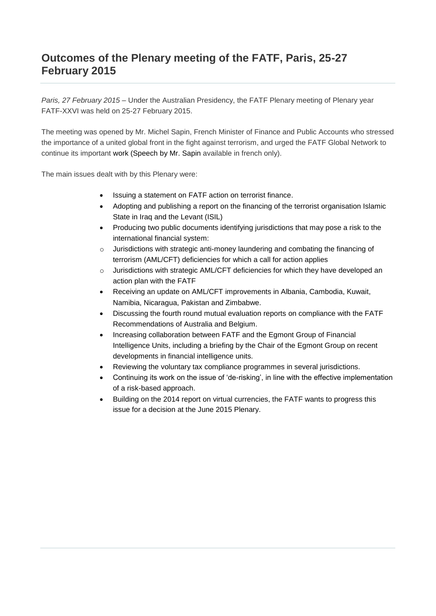#### **Outcomes of the Plenary meeting of the FATF, Paris, 25-27 February 2015**

*Paris, 27 February 2015* – Under the Australian Presidency, the FATF Plenary meeting of Plenary year FATF-XXVI was held on 25-27 February 2015.

The meeting was opened by Mr. Michel Sapin, French Minister of Finance and Public Accounts who stressed the importance of a united global front in the fight against terrorism, and urged the FATF Global Network to continue its important work (Speech by Mr. Sapin available in french only).

The main issues dealt with by this Plenary were:

- Issuing a statement on FATF action on terrorist finance.
- Adopting and publishing a report on the financing of the terrorist organisation Islamic State in Iraq and the Levant (ISIL)
- Producing two public documents identifying jurisdictions that may pose a risk to the international financial system:
- $\circ$  Jurisdictions with strategic anti-money laundering and combating the financing of terrorism (AML/CFT) deficiencies for which a call for action applies
- o Jurisdictions with strategic AML/CFT deficiencies for which they have developed an action plan with the FATF
- Receiving an update on AML/CFT improvements in Albania, Cambodia, Kuwait, Namibia, Nicaragua, Pakistan and Zimbabwe.
- Discussing the fourth round mutual evaluation reports on compliance with the FATF Recommendations of Australia and Belgium.
- Increasing collaboration between FATF and the Egmont Group of Financial Intelligence Units, including a briefing by the Chair of the Egmont Group on recent developments in financial intelligence units.
- Reviewing the voluntary tax compliance programmes in several jurisdictions.
- Continuing its work on the issue of 'de-risking', in line with the effective implementation of a risk-based approach.
- Building on the 2014 report on virtual currencies, the FATF wants to progress this issue for a decision at the June 2015 Plenary.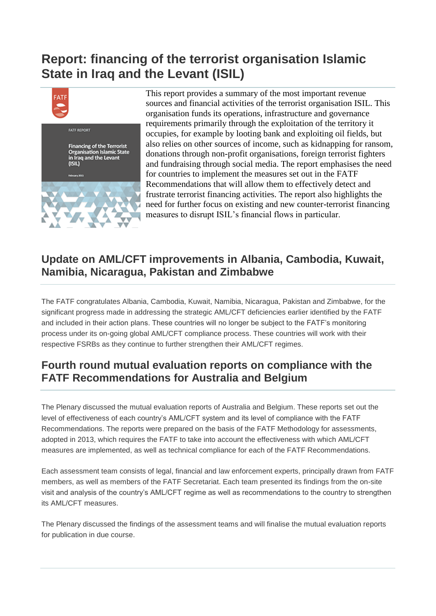# **Report: financing of the terrorist organisation Islamic State in Iraq and the Levant (ISIL)**



This report provides a summary of the most important revenue sources and financial activities of the terrorist organisation ISIL. This organisation funds its operations, infrastructure and governance requirements primarily through the exploitation of the territory it occupies, for example by looting bank and exploiting oil fields, but also relies on other sources of income, such as kidnapping for ransom, donations through non-profit organisations, foreign terrorist fighters and fundraising through social media. The report emphasises the need for countries to implement the measures set out in the FATF Recommendations that will allow them to effectively detect and frustrate terrorist financing activities. The report also highlights the need for further focus on existing and new counter-terrorist financing measures to disrupt ISIL's financial flows in particular.

#### **Update on AML/CFT improvements in Albania, Cambodia, Kuwait, Namibia, Nicaragua, Pakistan and Zimbabwe**

The FATF congratulates Albania, Cambodia, Kuwait, Namibia, Nicaragua, Pakistan and Zimbabwe, for the significant progress made in addressing the strategic AML/CFT deficiencies earlier identified by the FATF and included in their action plans. These countries will no longer be subject to the FATF's monitoring process under its on-going global AML/CFT compliance process. These countries will work with their respective FSRBs as they continue to further strengthen their AML/CFT regimes.

### **Fourth round mutual evaluation reports on compliance with the FATF Recommendations for Australia and Belgium**

The Plenary discussed the mutual evaluation reports of Australia and Belgium. These reports set out the level of effectiveness of each country's AML/CFT system and its level of compliance with the FATF Recommendations. The reports were prepared on the basis of the FATF Methodology for assessments, adopted in 2013, which requires the FATF to take into account the effectiveness with which AML/CFT measures are implemented, as well as technical compliance for each of the FATF Recommendations.

Each assessment team consists of legal, financial and law enforcement experts, principally drawn from FATF members, as well as members of the FATF Secretariat. Each team presented its findings from the on-site visit and analysis of the country's AML/CFT regime as well as recommendations to the country to strengthen its AML/CFT measures.

The Plenary discussed the findings of the assessment teams and will finalise the mutual evaluation reports for publication in due course.